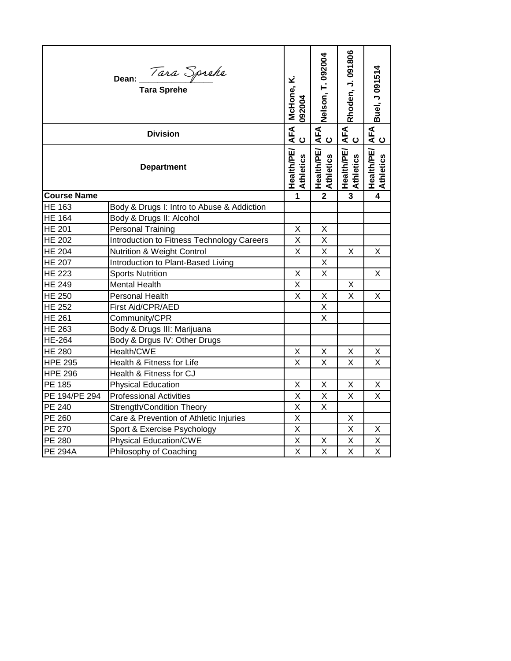|                    | نح<br>McHone,<br>092004                           | Nelson, T. 092004                     | Rhoden, J. 091806                     | Buel, J 091514                 |                |
|--------------------|---------------------------------------------------|---------------------------------------|---------------------------------------|--------------------------------|----------------|
| <b>Division</b>    |                                                   |                                       | AFA<br>C                              | AFA<br>C                       | AFA<br>C       |
|                    | $\frac{AFA}{C}$<br>Health/PE/<br><b>Athletics</b> | <b>Health/PE/</b><br><b>Athletics</b> | <b>Health/PE/</b><br><b>Athletics</b> | <b>Health/PE/</b><br>Athletics |                |
| <b>Course Name</b> |                                                   | 1                                     | $\overline{2}$                        | $\mathbf{3}$                   | $\overline{4}$ |
| <b>HE 163</b>      | Body & Drugs I: Intro to Abuse & Addiction        |                                       |                                       |                                |                |
| <b>HE 164</b>      | Body & Drugs II: Alcohol                          |                                       |                                       |                                |                |
| <b>HE 201</b>      | <b>Personal Training</b>                          | X                                     | X                                     |                                |                |
| <b>HE 202</b>      | Introduction to Fitness Technology Careers        | Χ                                     | X                                     |                                |                |
| <b>HE 204</b>      | Nutrition & Weight Control                        | X                                     | Χ                                     | Χ                              | X              |
| <b>HE 207</b>      | Introduction to Plant-Based Living                |                                       | X                                     |                                |                |
| <b>HE 223</b>      | <b>Sports Nutrition</b>                           | Χ                                     | $\mathsf X$                           |                                | Χ              |
| <b>HE 249</b>      | <b>Mental Health</b>                              | X                                     |                                       | X                              |                |
| HE 250             | <b>Personal Health</b>                            | X                                     | X                                     | X                              | X              |
| <b>HE 252</b>      | First Aid/CPR/AED                                 |                                       | X                                     |                                |                |
| <b>HE 261</b>      | Community/CPR                                     |                                       | X                                     |                                |                |
| <b>HE 263</b>      | Body & Drugs III: Marijuana                       |                                       |                                       |                                |                |
| <b>HE-264</b>      | Body & Drgus IV: Other Drugs                      |                                       |                                       |                                |                |
| <b>HE 280</b>      | Health/CWE                                        | X                                     | X                                     | X                              | X              |
| <b>HPE 295</b>     | Health & Fitness for Life                         | X                                     | X                                     | X                              | X              |
| <b>HPE 296</b>     | Health & Fitness for CJ                           |                                       |                                       |                                |                |
| PE 185             | <b>Physical Education</b>                         | Χ                                     | Χ                                     | X                              | X              |
| PE 194/PE 294      | <b>Professional Activities</b>                    | X                                     | X                                     | X                              | X              |
| <b>PE 240</b>      | <b>Strength/Condition Theory</b>                  | X                                     | X                                     |                                |                |
| PE 260             | Care & Prevention of Athletic Injuries            | X                                     |                                       | Χ                              |                |
| PE 270             | Sport & Exercise Psychology                       | $\sf X$                               |                                       | Χ                              | X              |
| PE 280             | <b>Physical Education/CWE</b>                     | $\sf X$                               | Χ                                     | Χ                              | Χ              |
| <b>PE 294A</b>     | Philosophy of Coaching                            | X                                     | X                                     | X                              | X              |